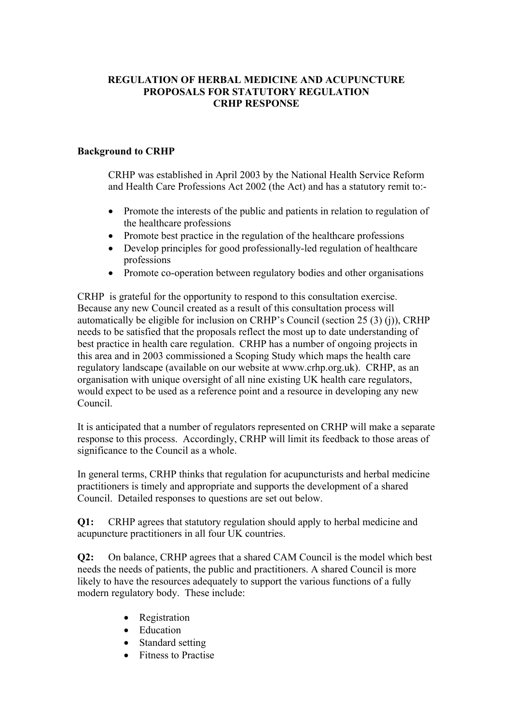## **REGULATION OF HERBAL MEDICINE AND ACUPUNCTURE PROPOSALS FOR STATUTORY REGULATION CRHP RESPONSE**

## **Background to CRHP**

 CRHP was established in April 2003 by the National Health Service Reform and Health Care Professions Act 2002 (the Act) and has a statutory remit to:-

- Promote the interests of the public and patients in relation to regulation of the healthcare professions
- Promote best practice in the regulation of the healthcare professions
- Develop principles for good professionally-led regulation of healthcare professions
- Promote co-operation between regulatory bodies and other organisations

CRHP is grateful for the opportunity to respond to this consultation exercise. Because any new Council created as a result of this consultation process will automatically be eligible for inclusion on CRHP's Council (section 25 (3) (j)), CRHP needs to be satisfied that the proposals reflect the most up to date understanding of best practice in health care regulation. CRHP has a number of ongoing projects in this area and in 2003 commissioned a Scoping Study which maps the health care regulatory landscape (available on our website at www.crhp.org.uk). CRHP, as an organisation with unique oversight of all nine existing UK health care regulators, would expect to be used as a reference point and a resource in developing any new Council.

It is anticipated that a number of regulators represented on CRHP will make a separate response to this process. Accordingly, CRHP will limit its feedback to those areas of significance to the Council as a whole.

In general terms, CRHP thinks that regulation for acupuncturists and herbal medicine practitioners is timely and appropriate and supports the development of a shared Council. Detailed responses to questions are set out below.

**Q1:** CRHP agrees that statutory regulation should apply to herbal medicine and acupuncture practitioners in all four UK countries.

**Q2:** On balance, CRHP agrees that a shared CAM Council is the model which best needs the needs of patients, the public and practitioners. A shared Council is more likely to have the resources adequately to support the various functions of a fully modern regulatory body. These include:

- Registration
- Education
- Standard setting
- Fitness to Practise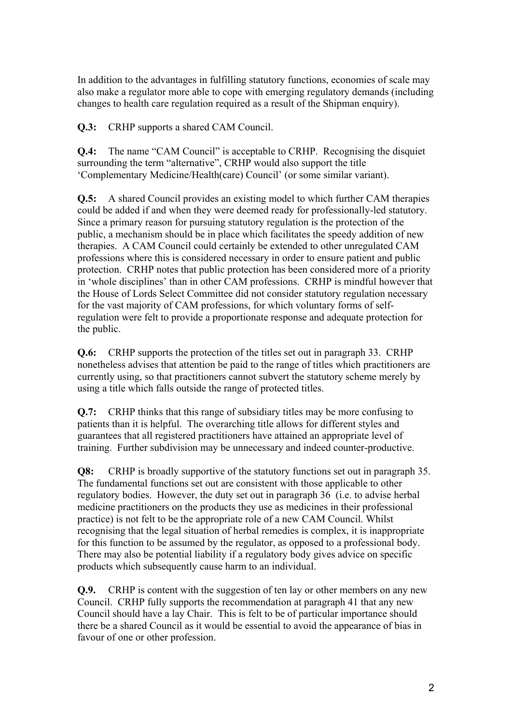In addition to the advantages in fulfilling statutory functions, economies of scale may also make a regulator more able to cope with emerging regulatory demands (including changes to health care regulation required as a result of the Shipman enquiry).

**Q.3:** CRHP supports a shared CAM Council.

**Q.4:** The name "CAM Council" is acceptable to CRHP. Recognising the disquiet surrounding the term "alternative", CRHP would also support the title 'Complementary Medicine/Health(care) Council' (or some similar variant).

**Q.5:** A shared Council provides an existing model to which further CAM therapies could be added if and when they were deemed ready for professionally-led statutory. Since a primary reason for pursuing statutory regulation is the protection of the public, a mechanism should be in place which facilitates the speedy addition of new therapies. A CAM Council could certainly be extended to other unregulated CAM professions where this is considered necessary in order to ensure patient and public protection. CRHP notes that public protection has been considered more of a priority in 'whole disciplines' than in other CAM professions. CRHP is mindful however that the House of Lords Select Committee did not consider statutory regulation necessary for the vast majority of CAM professions, for which voluntary forms of selfregulation were felt to provide a proportionate response and adequate protection for the public.

**Q.6:** CRHP supports the protection of the titles set out in paragraph 33. CRHP nonetheless advises that attention be paid to the range of titles which practitioners are currently using, so that practitioners cannot subvert the statutory scheme merely by using a title which falls outside the range of protected titles.

**Q.7:** CRHP thinks that this range of subsidiary titles may be more confusing to patients than it is helpful. The overarching title allows for different styles and guarantees that all registered practitioners have attained an appropriate level of training. Further subdivision may be unnecessary and indeed counter-productive.

**Q8:** CRHP is broadly supportive of the statutory functions set out in paragraph 35. The fundamental functions set out are consistent with those applicable to other regulatory bodies. However, the duty set out in paragraph 36 (i.e. to advise herbal medicine practitioners on the products they use as medicines in their professional practice) is not felt to be the appropriate role of a new CAM Council. Whilst recognising that the legal situation of herbal remedies is complex, it is inappropriate for this function to be assumed by the regulator, as opposed to a professional body. There may also be potential liability if a regulatory body gives advice on specific products which subsequently cause harm to an individual.

**Q.9.** CRHP is content with the suggestion of ten lay or other members on any new Council. CRHP fully supports the recommendation at paragraph 41 that any new Council should have a lay Chair. This is felt to be of particular importance should there be a shared Council as it would be essential to avoid the appearance of bias in favour of one or other profession.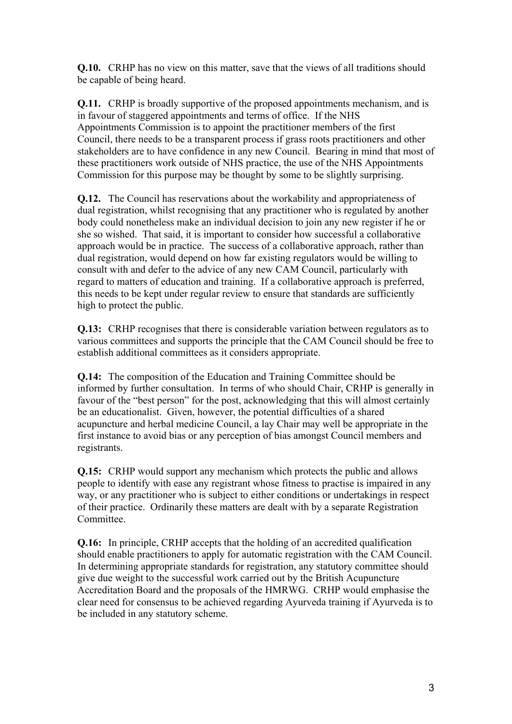**Q.10.** CRHP has no view on this matter, save that the views of all traditions should be capable of being heard.

**Q.11.** CRHP is broadly supportive of the proposed appointments mechanism, and is in favour of staggered appointments and terms of office. If the NHS Appointments Commission is to appoint the practitioner members of the first Council, there needs to be a transparent process if grass roots practitioners and other stakeholders are to have confidence in any new Council. Bearing in mind that most of these practitioners work outside of NHS practice, the use of the NHS Appointments Commission for this purpose may be thought by some to be slightly surprising.

**Q.12.** The Council has reservations about the workability and appropriateness of dual registration, whilst recognising that any practitioner who is regulated by another body could nonetheless make an individual decision to join any new register if he or she so wished. That said, it is important to consider how successful a collaborative approach would be in practice. The success of a collaborative approach, rather than dual registration, would depend on how far existing regulators would be willing to consult with and defer to the advice of any new CAM Council, particularly with regard to matters of education and training. If a collaborative approach is preferred, this needs to be kept under regular review to ensure that standards are sufficiently high to protect the public.

**Q.13:** CRHP recognises that there is considerable variation between regulators as to various committees and supports the principle that the CAM Council should be free to establish additional committees as it considers appropriate.

**Q.14:** The composition of the Education and Training Committee should be informed by further consultation. In terms of who should Chair, CRHP is generally in favour of the "best person" for the post, acknowledging that this will almost certainly be an educationalist. Given, however, the potential difficulties of a shared acupuncture and herbal medicine Council, a lay Chair may well be appropriate in the first instance to avoid bias or any perception of bias amongst Council members and registrants.

**Q.15:** CRHP would support any mechanism which protects the public and allows people to identify with ease any registrant whose fitness to practise is impaired in any way, or any practitioner who is subject to either conditions or undertakings in respect of their practice. Ordinarily these matters are dealt with by a separate Registration Committee.

**Q.16:** In principle, CRHP accepts that the holding of an accredited qualification should enable practitioners to apply for automatic registration with the CAM Council. In determining appropriate standards for registration, any statutory committee should give due weight to the successful work carried out by the British Acupuncture Accreditation Board and the proposals of the HMRWG. CRHP would emphasise the clear need for consensus to be achieved regarding Ayurveda training if Ayurveda is to be included in any statutory scheme.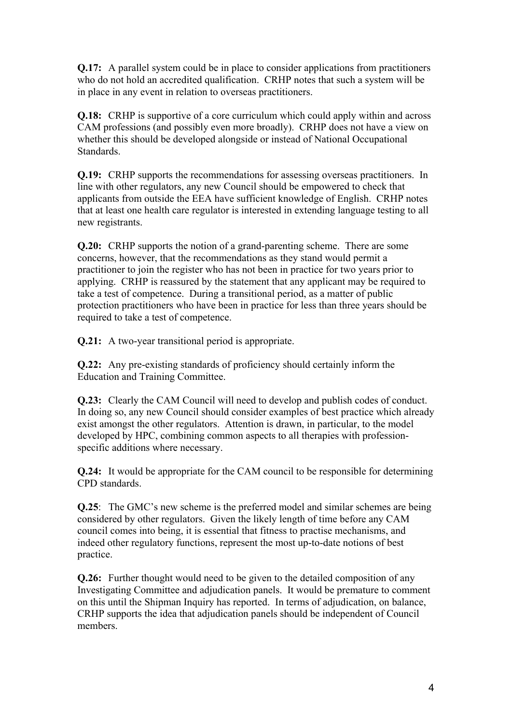**Q.17:** A parallel system could be in place to consider applications from practitioners who do not hold an accredited qualification. CRHP notes that such a system will be in place in any event in relation to overseas practitioners.

**Q.18:** CRHP is supportive of a core curriculum which could apply within and across CAM professions (and possibly even more broadly). CRHP does not have a view on whether this should be developed alongside or instead of National Occupational **Standards** 

**Q.19:** CRHP supports the recommendations for assessing overseas practitioners. In line with other regulators, any new Council should be empowered to check that applicants from outside the EEA have sufficient knowledge of English. CRHP notes that at least one health care regulator is interested in extending language testing to all new registrants.

**Q.20:** CRHP supports the notion of a grand-parenting scheme. There are some concerns, however, that the recommendations as they stand would permit a practitioner to join the register who has not been in practice for two years prior to applying. CRHP is reassured by the statement that any applicant may be required to take a test of competence. During a transitional period, as a matter of public protection practitioners who have been in practice for less than three years should be required to take a test of competence.

**Q.21:** A two-year transitional period is appropriate.

**Q.22:** Any pre-existing standards of proficiency should certainly inform the Education and Training Committee.

**Q.23:** Clearly the CAM Council will need to develop and publish codes of conduct. In doing so, any new Council should consider examples of best practice which already exist amongst the other regulators. Attention is drawn, in particular, to the model developed by HPC, combining common aspects to all therapies with professionspecific additions where necessary.

**Q.24:** It would be appropriate for the CAM council to be responsible for determining CPD standards.

**Q.25**: The GMC's new scheme is the preferred model and similar schemes are being considered by other regulators. Given the likely length of time before any CAM council comes into being, it is essential that fitness to practise mechanisms, and indeed other regulatory functions, represent the most up-to-date notions of best practice.

**Q.26:** Further thought would need to be given to the detailed composition of any Investigating Committee and adjudication panels. It would be premature to comment on this until the Shipman Inquiry has reported. In terms of adjudication, on balance, CRHP supports the idea that adjudication panels should be independent of Council members.